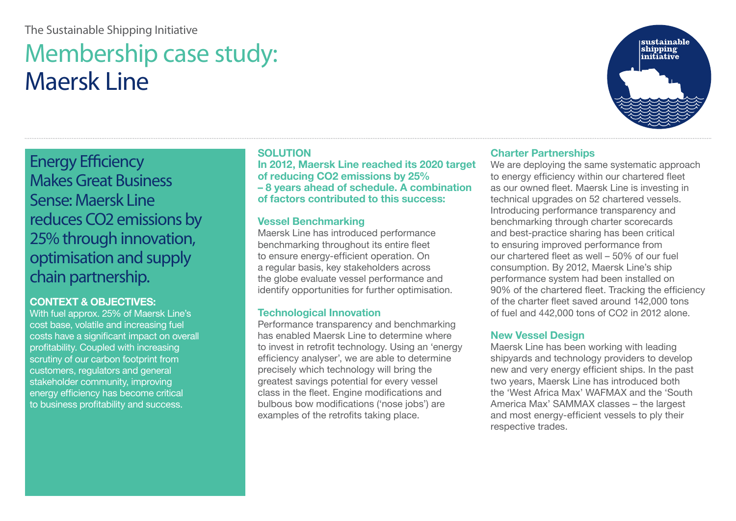## The Sustainable Shipping Initiative

# Membership case study: Maersk Line



Energy Efficiency Makes Great Business Sense: Maersk Line reduces CO2 emissions by 25% through innovation, optimisation and supply chain partnership.

### **CONTEXT & OBJECTIVES:**

With fuel approx. 25% of Maersk Line's cost base, volatile and increasing fuel costs have a significant impact on overall profitability. Coupled with increasing scrutiny of our carbon footprint from customers, regulators and general stakeholder community, improving energy efficiency has become critical to business profitability and success.

### **SOLUTION**

**In 2012, Maersk Line reached its 2020 target of reducing CO2 emissions by 25% – 8 years ahead of schedule. A combination of factors contributed to this success:**

### **Vessel Benchmarking**

Maersk Line has introduced performance benchmarking throughout its entire fleet to ensure energy-efficient operation. On a regular basis, key stakeholders across the globe evaluate vessel performance and identify opportunities for further optimisation.

### **Technological Innovation**

Performance transparency and benchmarking has enabled Maersk Line to determine where to invest in retrofit technology. Using an 'energy efficiency analyser', we are able to determine precisely which technology will bring the greatest savings potential for every vessel class in the fleet. Engine modifications and bulbous bow modifications ('nose jobs') are examples of the retrofits taking place.

### **Charter Partnerships**

We are deploying the same systematic approach to energy efficiency within our chartered fleet as our owned fleet. Maersk Line is investing in technical upgrades on 52 chartered vessels. Introducing performance transparency and benchmarking through charter scorecards and best-practice sharing has been critical to ensuring improved performance from our chartered fleet as well – 50% of our fuel consumption. By 2012, Maersk Line's ship performance system had been installed on 90% of the chartered fleet. Tracking the efficiency of the charter fleet saved around 142,000 tons of fuel and 442,000 tons of CO2 in 2012 alone.

### **New Vessel Design**

Maersk Line has been working with leading shipyards and technology providers to develop new and very energy efficient ships. In the past two years, Maersk Line has introduced both the 'West Africa Max' WAFMAX and the 'South America Max' SAMMAX classes – the largest and most energy-efficient vessels to ply their respective trades.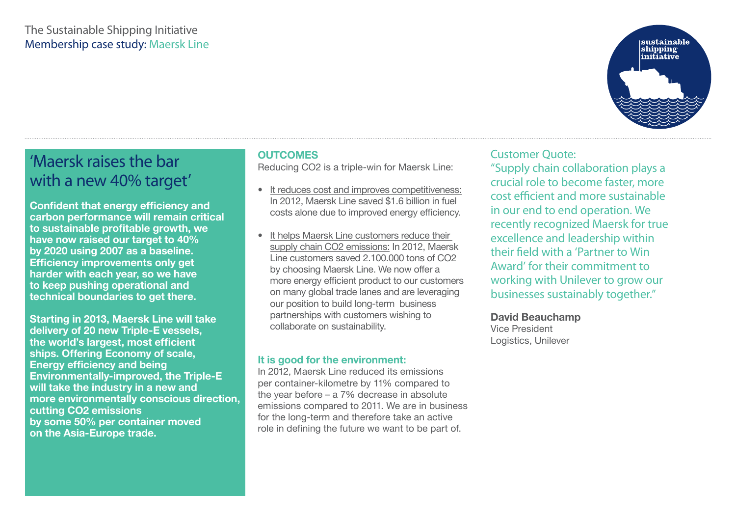# The Sustainable Shipping Initiative Membership case study: Maersk Line



# 'Maersk raises the bar with a new 40% target'

**Confident that energy efficiency and carbon performance will remain critical to sustainable profitable growth, we have now raised our target to 40% by 2020 using 2007 as a baseline. Efficiency improvements only get harder with each year, so we have to keep pushing operational and technical boundaries to get there.**

**Starting in 2013, Maersk Line will take delivery of 20 new Triple-E vessels, the world's largest, most efficient ships. Offering Economy of scale, Energy efficiency and being Environmentally-improved, the Triple-E will take the industry in a new and more environmentally conscious direction, cutting CO2 emissions by some 50% per container moved on the Asia-Europe trade.**

### **OUTCOMES**

Reducing CO2 is a triple-win for Maersk Line:

- It reduces cost and improves competitiveness: In 2012, Maersk Line saved \$1.6 billion in fuel costs alone due to improved energy efficiency.
- It helps Maersk Line customers reduce their supply chain CO2 emissions: In 2012, Maersk Line customers saved 2.100.000 tons of CO2 by choosing Maersk Line. We now offer a more energy efficient product to our customers on many global trade lanes and are leveraging our position to build long-term business partnerships with customers wishing to collaborate on sustainability.

### **It is good for the environment:**

In 2012, Maersk Line reduced its emissions per container-kilometre by 11% compared to the year before – a 7% decrease in absolute emissions compared to 2011. We are in business for the long-term and therefore take an active role in defining the future we want to be part of.

# Customer Quote:

"Supply chain collaboration plays a crucial role to become faster, more cost efficient and more sustainable in our end to end operation. We recently recognized Maersk for true excellence and leadership within their field with a 'Partner to Win Award' for their commitment to working with Unilever to grow our businesses sustainably together."

### **David Beauchamp**

Vice President Logistics, Unilever